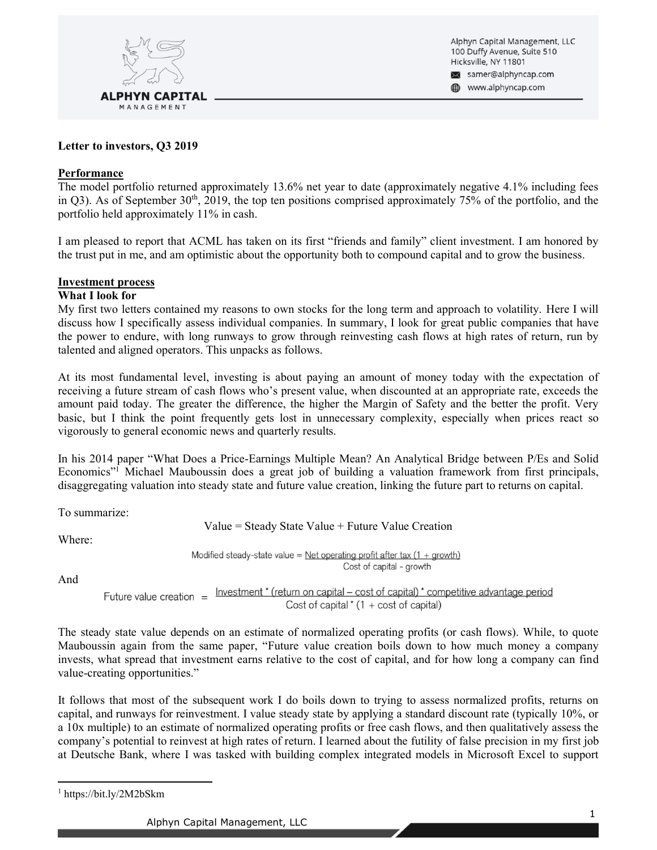

Alphyn Capital Management, LLC 100 Duffy Avenue, Suite 510 Hicksville, NY 11801 samer@alphyncap.com www.alphyncap.com

## **Letter to investors, Q3 2019**

### **Performance**

The model portfolio returned approximately 13.6% net year to date (approximately negative 4.1% including fees in Q3). As of September  $30<sup>th</sup>$ ,  $2019$ , the top ten positions comprised approximately 75% of the portfolio, and the portfolio held approximately 11% in cash.

I am pleased to report that ACML has taken on its first "friends and family" client investment. I am honored by the trust put in me, and am optimistic about the opportunity both to compound capital and to grow the business.

### **Investment process**

### **What I look for**

My first two letters contained my reasons to own stocks for the long term and approach to volatility. Here I will discuss how I specifically assess individual companies. In summary, I look for great public companies that have the power to endure, with long runways to grow through reinvesting cash flows at high rates of return, run by talented and aligned operators. This unpacks as follows.

At its most fundamental level, investing is about paying an amount of money today with the expectation of receiving a future stream of cash flows who's present value, when discounted at an appropriate rate, exceeds the amount paid today. The greater the difference, the higher the Margin of Safety and the better the profit. Very basic, but I think the point frequently gets lost in unnecessary complexity, especially when prices react so vigorously to general economic news and quarterly results.

In his 2014 paper "What Does a Price-Earnings Multiple Mean? An Analytical Bridge between P/Es and Solid Economics"<sup>1</sup> Michael Mauboussin does a great job of building a valuation framework from first principals, disaggregating valuation into steady state and future value creation, linking the future part to returns on capital.

To summarize:

 $Value = Steady State Value + Future Value Creation$ 

Where:

Modified steady-state value = Net operating profit after tax  $(1 + growth)$ Cost of capital - growth

And

Investment \* (return on capital – cost of capital) \* competitive advantage period Future value creation  $=$ Cost of capital  $*(1 + \text{cost of capital})$ 

The steady state value depends on an estimate of normalized operating profits (or cash flows). While, to quote Mauboussin again from the same paper, "Future value creation boils down to how much money a company invests, what spread that investment earns relative to the cost of capital, and for how long a company can find value-creating opportunities.´

It follows that most of the subsequent work I do boils down to trying to assess normalized profits, returns on capital, and runways for reinvestment. I value steady state by applying a standard discount rate (typically 10%, or a 10x multiple) to an estimate of normalized operating profits or free cash flows, and then qualitatively assess the company's potential to reinvest at high rates of return. I learned about the futility of false precision in my first job at Deutsche Bank, where I was tasked with building complex integrated models in Microsoft Excel to support

<sup>1</sup> https://bit.ly/2M2bSkm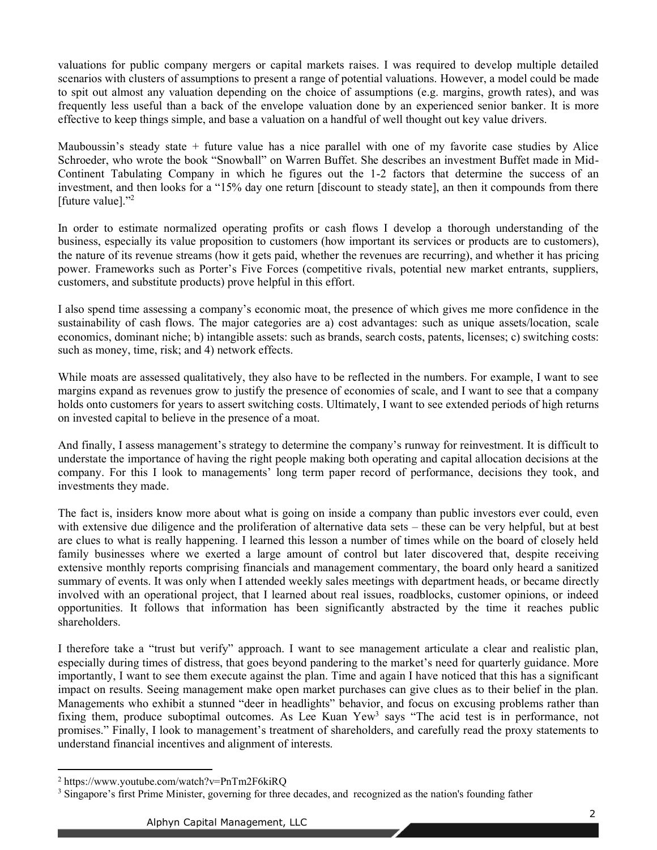valuations for public company mergers or capital markets raises. I was required to develop multiple detailed scenarios with clusters of assumptions to present a range of potential valuations. However, a model could be made to spit out almost any valuation depending on the choice of assumptions (e.g. margins, growth rates), and was frequently less useful than a back of the envelope valuation done by an experienced senior banker. It is more effective to keep things simple, and base a valuation on a handful of well thought out key value drivers.

Mauboussin's steady state  $+$  future value has a nice parallel with one of my favorite case studies by Alice Schroeder, who wrote the book "Snowball" on Warren Buffet. She describes an investment Buffet made in Mid-Continent Tabulating Company in which he figures out the 1-2 factors that determine the success of an investment, and then looks for a "15% day one return [discount to steady state], an then it compounds from there [future value]. $"^{2}$ 

In order to estimate normalized operating profits or cash flows I develop a thorough understanding of the business, especially its value proposition to customers (how important its services or products are to customers), the nature of its revenue streams (how it gets paid, whether the revenues are recurring), and whether it has pricing power. Frameworks such as Porter's Five Forces (competitive rivals, potential new market entrants, suppliers, customers, and substitute products) prove helpful in this effort.

I also spend time assessing a company's economic moat, the presence of which gives me more confidence in the sustainability of cash flows. The major categories are a) cost advantages: such as unique assets/location, scale economics, dominant niche; b) intangible assets: such as brands, search costs, patents, licenses; c) switching costs: such as money, time, risk; and 4) network effects.

While moats are assessed qualitatively, they also have to be reflected in the numbers. For example, I want to see margins expand as revenues grow to justify the presence of economies of scale, and I want to see that a company holds onto customers for years to assert switching costs. Ultimately, I want to see extended periods of high returns on invested capital to believe in the presence of a moat.

And finally, I assess management's strategy to determine the company's runway for reinvestment. It is difficult to understate the importance of having the right people making both operating and capital allocation decisions at the company. For this I look to managements' long term paper record of performance, decisions they took, and investments they made.

The fact is, insiders know more about what is going on inside a company than public investors ever could, even with extensive due diligence and the proliferation of alternative data sets – these can be very helpful, but at best are clues to what is really happening. I learned this lesson a number of times while on the board of closely held family businesses where we exerted a large amount of control but later discovered that, despite receiving extensive monthly reports comprising financials and management commentary, the board only heard a sanitized summary of events. It was only when I attended weekly sales meetings with department heads, or became directly involved with an operational project, that I learned about real issues, roadblocks, customer opinions, or indeed opportunities. It follows that information has been significantly abstracted by the time it reaches public shareholders.

I therefore take a "trust but verify" approach. I want to see management articulate a clear and realistic plan, especially during times of distress, that goes beyond pandering to the market's need for quarterly guidance. More importantly, I want to see them execute against the plan. Time and again I have noticed that this has a significant impact on results. Seeing management make open market purchases can give clues as to their belief in the plan. Managements who exhibit a stunned "deer in headlights" behavior, and focus on excusing problems rather than fixing them, produce suboptimal outcomes. As Lee Kuan Yew<sup>3</sup> says "The acid test is in performance, not promises." Finally, I look to management's treatment of shareholders, and carefully read the proxy statements to understand financial incentives and alignment of interests.

<sup>2</sup> https://www.youtube.com/watch?v=PnTm2F6kiRQ

<sup>&</sup>lt;sup>3</sup> Singapore's first Prime Minister, governing for three decades, and recognized as the nation's founding father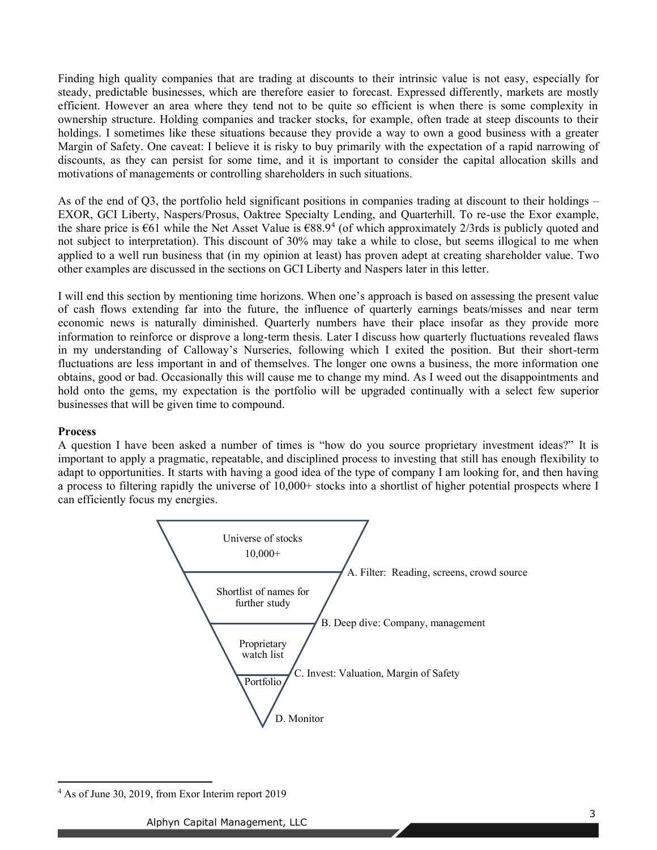Finding high quality companies that are trading at discounts to their intrinsic value is not easy, especially for steady, predictable businesses, which are therefore easier to forecast. Expressed differently, markets are mostly efficient. However an area where they tend not to be quite so efficient is when there is some complexity in ownership structure. Holding companies and tracker stocks, for example, often trade at steep discounts to their holdings. I sometimes like these situations because they provide a way to own a good business with a greater Margin of Safety. One caveat: I believe it is risky to buy primarily with the expectation of a rapid narrowing of discounts, as they can persist for some time, and it is important to consider the capital allocation skills and motivations of managements or controlling shareholders in such situations.

As of the end of Q3, the portfolio held significant positions in companies trading at discount to their holdings  $-$ EXOR, GCI Liberty, Naspers/Prosus, Oaktree Specialty Lending, and Quarterhill. To re-use the Exor example, the share price is  $\epsilon$ 61 while the Net Asset Value is  $\epsilon$ 88.9<sup>4</sup> (of which approximately 2/3rds is publicly quoted and not subject to interpretation). This discount of 30% may take a while to close, but seems illogical to me when applied to a well run business that (in my opinion at least) has proven adept at creating shareholder value. Two other examples are discussed in the sections on GCI Liberty and Naspers later in this letter.

I will end this section by mentioning time horizons. When one's approach is based on assessing the present value of cash flows extending far into the future, the influence of quarterly earnings beats/misses and near term economic news is naturally diminished. Quarterly numbers have their place insofar as they provide more information to reinforce or disprove a long-term thesis. Later I discuss how quarterly fluctuations revealed flaws in my understanding of Calloway's Nurseries, following which I exited the position. But their short-term fluctuations are less important in and of themselves. The longer one owns a business, the more information one obtains, good or bad. Occasionally this will cause me to change my mind. As I weed out the disappointments and hold onto the gems, my expectation is the portfolio will be upgraded continually with a select few superior businesses that will be given time to compound.

#### **Process**

A question I have been asked a number of times is "how do you source proprietary investment ideas?" It is important to apply a pragmatic, repeatable, and disciplined process to investing that still has enough flexibility to adapt to opportunities. It starts with having a good idea of the type of company I am looking for, and then having a process to filtering rapidly the universe of 10,000+ stocks into a shortlist of higher potential prospects where I can efficiently focus my energies.



<sup>4</sup> As of June 30, 2019, from Exor Interim report 2019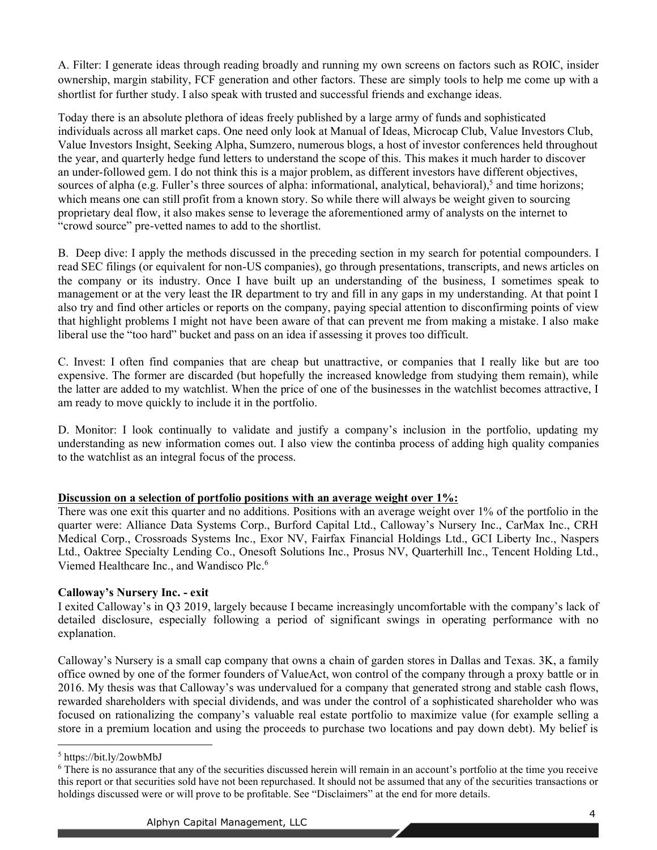A. Filter: I generate ideas through reading broadly and running my own screens on factors such as ROIC, insider ownership, margin stability, FCF generation and other factors. These are simply tools to help me come up with a shortlist for further study. I also speak with trusted and successful friends and exchange ideas.

Today there is an absolute plethora of ideas freely published by a large army of funds and sophisticated individuals across all market caps. One need only look at Manual of Ideas, Microcap Club, Value Investors Club, Value Investors Insight, Seeking Alpha, Sumzero, numerous blogs, a host of investor conferences held throughout the year, and quarterly hedge fund letters to understand the scope of this. This makes it much harder to discover an under-followed gem. I do not think this is a major problem, as different investors have different objectives, sources of alpha (e.g. Fuller's three sources of alpha: informational, analytical, behavioral),<sup>5</sup> and time horizons; which means one can still profit from a known story. So while there will always be weight given to sourcing proprietary deal flow, it also makes sense to leverage the aforementioned army of analysts on the internet to "crowd source" pre-vetted names to add to the shortlist.

B. Deep dive: I apply the methods discussed in the preceding section in my search for potential compounders. I read SEC filings (or equivalent for non-US companies), go through presentations, transcripts, and news articles on the company or its industry. Once I have built up an understanding of the business, I sometimes speak to management or at the very least the IR department to try and fill in any gaps in my understanding. At that point I also try and find other articles or reports on the company, paying special attention to disconfirming points of view that highlight problems I might not have been aware of that can prevent me from making a mistake. I also make liberal use the "too hard" bucket and pass on an idea if assessing it proves too difficult.

C. Invest: I often find companies that are cheap but unattractive, or companies that I really like but are too expensive. The former are discarded (but hopefully the increased knowledge from studying them remain), while the latter are added to my watchlist. When the price of one of the businesses in the watchlist becomes attractive, I am ready to move quickly to include it in the portfolio.

D. Monitor: I look continually to validate and justify a company's inclusion in the portfolio, updating my understanding as new information comes out. I also view the continba process of adding high quality companies to the watchlist as an integral focus of the process.

## **Discussion on a selection of portfolio positions with an average weight over 1%:**

There was one exit this quarter and no additions. Positions with an average weight over 1% of the portfolio in the quarter were: Alliance Data Systems Corp., Burford Capital Ltd., Calloway's Nursery Inc., CarMax Inc., CRH Medical Corp., Crossroads Systems Inc., Exor NV, Fairfax Financial Holdings Ltd., GCI Liberty Inc., Naspers Ltd., Oaktree Specialty Lending Co., Onesoft Solutions Inc., Prosus NV, Quarterhill Inc., Tencent Holding Ltd., Viemed Healthcare Inc., and Wandisco Plc.6

## **Calloway¶s Nursery Inc. - exit**

I exited Calloway's in Q3 2019, largely because I became increasingly uncomfortable with the company's lack of detailed disclosure, especially following a period of significant swings in operating performance with no explanation.

Calloway's Nursery is a small cap company that owns a chain of garden stores in Dallas and Texas. 3K, a family office owned by one of the former founders of ValueAct, won control of the company through a proxy battle or in 2016. My thesis was that Calloway's was undervalued for a company that generated strong and stable cash flows, rewarded shareholders with special dividends, and was under the control of a sophisticated shareholder who was focused on rationalizing the company's valuable real estate portfolio to maximize value (for example selling a store in a premium location and using the proceeds to purchase two locations and pay down debt). My belief is

<sup>5</sup> https://bit.ly/2owbMbJ

 $6$  There is no assurance that any of the securities discussed herein will remain in an account's portfolio at the time you receive this report or that securities sold have not been repurchased. It should not be assumed that any of the securities transactions or holdings discussed were or will prove to be profitable. See "Disclaimers" at the end for more details.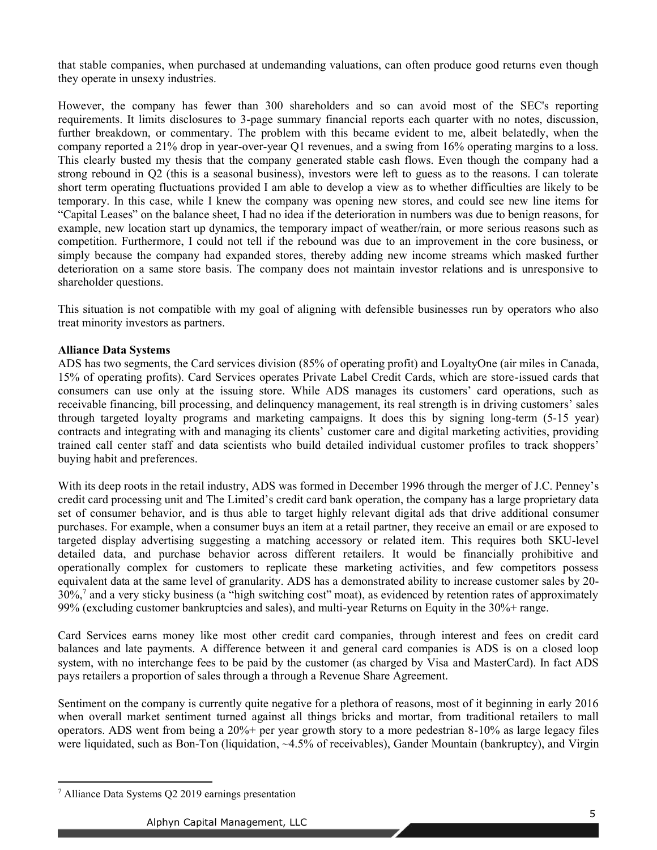that stable companies, when purchased at undemanding valuations, can often produce good returns even though they operate in unsexy industries.

However, the company has fewer than 300 shareholders and so can avoid most of the SEC's reporting requirements. It limits disclosures to 3-page summary financial reports each quarter with no notes, discussion, further breakdown, or commentary. The problem with this became evident to me, albeit belatedly, when the company reported a 21% drop in year-over-year Q1 revenues, and a swing from 16% operating margins to a loss. This clearly busted my thesis that the company generated stable cash flows. Even though the company had a strong rebound in Q2 (this is a seasonal business), investors were left to guess as to the reasons. I can tolerate short term operating fluctuations provided I am able to develop a view as to whether difficulties are likely to be temporary. In this case, while I knew the company was opening new stores, and could see new line items for ³Capital Leases´ on the balance sheet, I had no idea if the deterioration in numbers was due to benign reasons, for example, new location start up dynamics, the temporary impact of weather/rain, or more serious reasons such as competition. Furthermore, I could not tell if the rebound was due to an improvement in the core business, or simply because the company had expanded stores, thereby adding new income streams which masked further deterioration on a same store basis. The company does not maintain investor relations and is unresponsive to shareholder questions.

This situation is not compatible with my goal of aligning with defensible businesses run by operators who also treat minority investors as partners.

### **Alliance Data Systems**

ADS has two segments, the Card services division (85% of operating profit) and LoyaltyOne (air miles in Canada, 15% of operating profits). Card Services operates Private Label Credit Cards, which are store-issued cards that consumers can use only at the issuing store. While ADS manages its customers' card operations, such as receivable financing, bill processing, and delinquency management, its real strength is in driving customers' sales through targeted loyalty programs and marketing campaigns. It does this by signing long-term (5-15 year) contracts and integrating with and managing its clients' customer care and digital marketing activities, providing trained call center staff and data scientists who build detailed individual customer profiles to track shoppers' buying habit and preferences.

With its deep roots in the retail industry, ADS was formed in December 1996 through the merger of J.C. Penney's credit card processing unit and The Limited's credit card bank operation, the company has a large proprietary data set of consumer behavior, and is thus able to target highly relevant digital ads that drive additional consumer purchases. For example, when a consumer buys an item at a retail partner, they receive an email or are exposed to targeted display advertising suggesting a matching accessory or related item. This requires both SKU-level detailed data, and purchase behavior across different retailers. It would be financially prohibitive and operationally complex for customers to replicate these marketing activities, and few competitors possess equivalent data at the same level of granularity. ADS has a demonstrated ability to increase customer sales by 20-  $30\%$ ,<sup>7</sup> and a very sticky business (a "high switching cost" moat), as evidenced by retention rates of approximately 99% (excluding customer bankruptcies and sales), and multi-year Returns on Equity in the 30%+ range.

Card Services earns money like most other credit card companies, through interest and fees on credit card balances and late payments. A difference between it and general card companies is ADS is on a closed loop system, with no interchange fees to be paid by the customer (as charged by Visa and MasterCard). In fact ADS pays retailers a proportion of sales through a through a Revenue Share Agreement.

Sentiment on the company is currently quite negative for a plethora of reasons, most of it beginning in early 2016 when overall market sentiment turned against all things bricks and mortar, from traditional retailers to mall operators. ADS went from being a 20%+ per year growth story to a more pedestrian 8-10% as large legacy files were liquidated, such as Bon-Ton (liquidation, ~4.5% of receivables), Gander Mountain (bankruptcy), and Virgin

<sup>7</sup> Alliance Data Systems Q2 2019 earnings presentation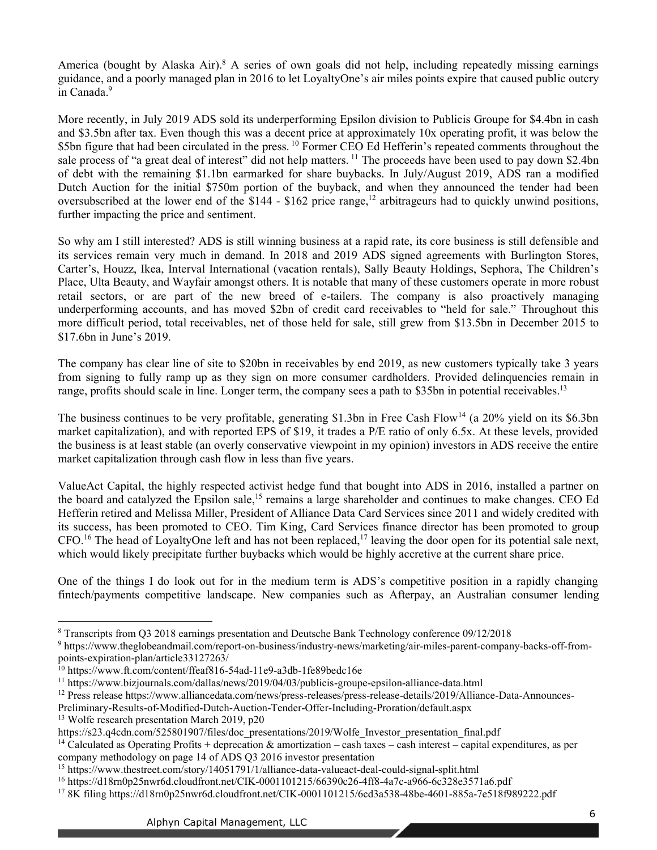America (bought by Alaska Air).<sup>8</sup> A series of own goals did not help, including repeatedly missing earnings guidance, and a poorly managed plan in 2016 to let LovaltyOne's air miles points expire that caused public outcry in Canada.<sup>9</sup>

More recently, in July 2019 ADS sold its underperforming Epsilon division to Publicis Groupe for \$4.4bn in cash and \$3.5bn after tax. Even though this was a decent price at approximately 10x operating profit, it was below the \$5bn figure that had been circulated in the press. <sup>10</sup> Former CEO Ed Hefferin's repeated comments throughout the sale process of "a great deal of interest" did not help matters. <sup>11</sup> The proceeds have been used to pay down \$2.4bn of debt with the remaining \$1.1bn earmarked for share buybacks. In July/August 2019, ADS ran a modified Dutch Auction for the initial \$750m portion of the buyback, and when they announced the tender had been oversubscribed at the lower end of the  $$144 - $162$  price range,<sup>12</sup> arbitrageurs had to quickly unwind positions, further impacting the price and sentiment.

So why am I still interested? ADS is still winning business at a rapid rate, its core business is still defensible and its services remain very much in demand. In 2018 and 2019 ADS signed agreements with Burlington Stores, Carter's, Houzz, Ikea, Interval International (vacation rentals), Sally Beauty Holdings, Sephora, The Children's Place, Ulta Beauty, and Wayfair amongst others. It is notable that many of these customers operate in more robust retail sectors, or are part of the new breed of e-tailers. The company is also proactively managing underperforming accounts, and has moved \$2bn of credit card receivables to "held for sale." Throughout this more difficult period, total receivables, net of those held for sale, still grew from \$13.5bn in December 2015 to \$17.6bn in June's 2019.

The company has clear line of site to \$20bn in receivables by end 2019, as new customers typically take 3 years from signing to fully ramp up as they sign on more consumer cardholders. Provided delinquencies remain in range, profits should scale in line. Longer term, the company sees a path to \$35bn in potential receivables.<sup>13</sup>

The business continues to be very profitable, generating \$1.3bn in Free Cash Flow<sup>14</sup> (a 20% yield on its \$6.3bn market capitalization), and with reported EPS of \$19, it trades a P/E ratio of only 6.5x. At these levels, provided the business is at least stable (an overly conservative viewpoint in my opinion) investors in ADS receive the entire market capitalization through cash flow in less than five years.

ValueAct Capital, the highly respected activist hedge fund that bought into ADS in 2016, installed a partner on the board and catalyzed the Epsilon sale,<sup>15</sup> remains a large shareholder and continues to make changes. CEO Ed Hefferin retired and Melissa Miller, President of Alliance Data Card Services since 2011 and widely credited with its success, has been promoted to CEO. Tim King, Card Services finance director has been promoted to group CFO.<sup>16</sup> The head of LoyaltyOne left and has not been replaced,<sup>17</sup> leaving the door open for its potential sale next, which would likely precipitate further buybacks which would be highly accretive at the current share price.

One of the things I do look out for in the medium term is ADS's competitive position in a rapidly changing fintech/payments competitive landscape. New companies such as Afterpay, an Australian consumer lending

<sup>8</sup> Transcripts from Q3 2018 earnings presentation and Deutsche Bank Technology conference 09/12/2018

<sup>9</sup> https://www.theglobeandmail.com/report-on-business/industry-news/marketing/air-miles-parent-company-backs-off-frompoints-expiration-plan/article33127263/

<sup>&</sup>lt;sup>10</sup> https://www.ft.com/content/ffeaf816-54ad-11e9-a3db-1fe89bedc16e

<sup>11</sup> https://www.bizjournals.com/dallas/news/2019/04/03/publicis-groupe-epsilon-alliance-data.html

<sup>&</sup>lt;sup>12</sup> Press release https://www.alliancedata.com/news/press-releases/press-release-details/2019/Alliance-Data-Announces-

Preliminary-Results-of-Modified-Dutch-Auction-Tender-Offer-Including-Proration/default.aspx

<sup>13</sup> Wolfe research presentation March 2019, p20

https://s23.q4cdn.com/525801907/files/doc\_presentations/2019/Wolfe\_Investor\_presentation\_final.pdf

<sup>&</sup>lt;sup>14</sup> Calculated as Operating Profits + deprecation  $\&$  amortization – cash taxes – cash interest – capital expenditures, as per company methodology on page 14 of ADS Q3 2016 investor presentation

<sup>15</sup> https://www.thestreet.com/story/14051791/1/alliance-data-valueact-deal-could-signal-split.html

<sup>16</sup> https://d18rn0p25nwr6d.cloudfront.net/CIK-0001101215/66390c26-4ff8-4a7c-a966-6c328e3571a6.pdf

<sup>17</sup> 8K filing https://d18rn0p25nwr6d.cloudfront.net/CIK-0001101215/6cd3a538-48be-4601-885a-7e518f989222.pdf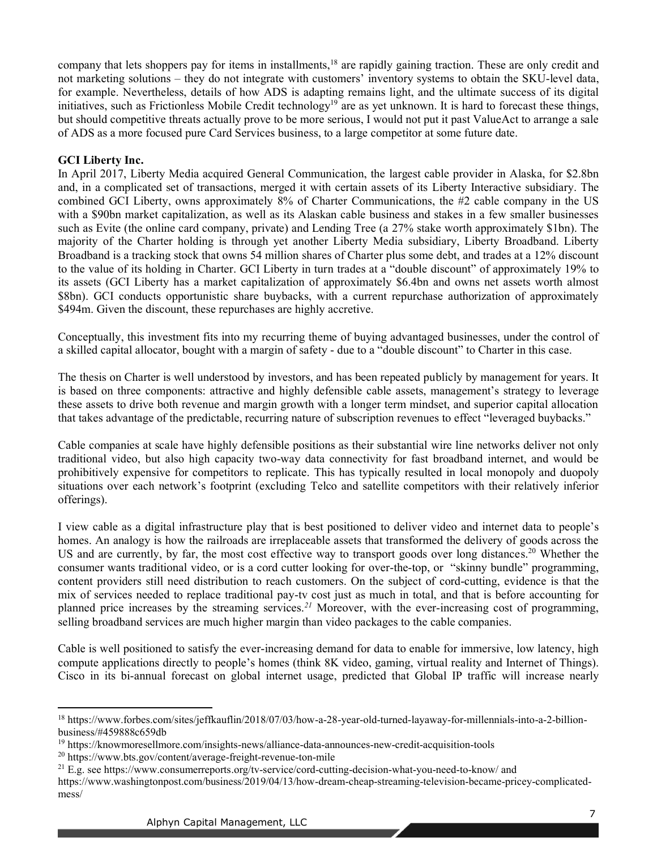company that lets shoppers pay for items in installments,<sup>18</sup> are rapidly gaining traction. These are only credit and not marketing solutions  $-$  they do not integrate with customers' inventory systems to obtain the SKU-level data, for example. Nevertheless, details of how ADS is adapting remains light, and the ultimate success of its digital initiatives, such as Frictionless Mobile Credit technology<sup>19</sup> are as yet unknown. It is hard to forecast these things, but should competitive threats actually prove to be more serious, I would not put it past ValueAct to arrange a sale of ADS as a more focused pure Card Services business, to a large competitor at some future date.

## **GCI Liberty Inc.**

In April 2017, Liberty Media acquired General Communication, the largest cable provider in Alaska, for \$2.8bn and, in a complicated set of transactions, merged it with certain assets of its Liberty Interactive subsidiary. The combined GCI Liberty, owns approximately 8% of Charter Communications, the #2 cable company in the US with a \$90bn market capitalization, as well as its Alaskan cable business and stakes in a few smaller businesses such as Evite (the online card company, private) and Lending Tree (a 27% stake worth approximately \$1bn). The majority of the Charter holding is through yet another Liberty Media subsidiary, Liberty Broadband. Liberty Broadband is a tracking stock that owns 54 million shares of Charter plus some debt, and trades at a 12% discount to the value of its holding in Charter. GCI Liberty in turn trades at a "double discount" of approximately 19% to its assets (GCI Liberty has a market capitalization of approximately \$6.4bn and owns net assets worth almost \$8bn). GCI conducts opportunistic share buybacks, with a current repurchase authorization of approximately \$494m. Given the discount, these repurchases are highly accretive.

Conceptually, this investment fits into my recurring theme of buying advantaged businesses, under the control of a skilled capital allocator, bought with a margin of safety - due to a "double discount" to Charter in this case.

The thesis on Charter is well understood by investors, and has been repeated publicly by management for years. It is based on three components: attractive and highly defensible cable assets, management's strategy to leverage these assets to drive both revenue and margin growth with a longer term mindset, and superior capital allocation that takes advantage of the predictable, recurring nature of subscription revenues to effect "leveraged buybacks."

Cable companies at scale have highly defensible positions as their substantial wire line networks deliver not only traditional video, but also high capacity two-way data connectivity for fast broadband internet, and would be prohibitively expensive for competitors to replicate. This has typically resulted in local monopoly and duopoly situations over each network's footprint (excluding Telco and satellite competitors with their relatively inferior offerings).

I view cable as a digital infrastructure play that is best positioned to deliver video and internet data to people's homes. An analogy is how the railroads are irreplaceable assets that transformed the delivery of goods across the US and are currently, by far, the most cost effective way to transport goods over long distances.<sup>20</sup> Whether the consumer wants traditional video, or is a cord cutter looking for over-the-top, or "skinny bundle" programming, content providers still need distribution to reach customers. On the subject of cord-cutting, evidence is that the mix of services needed to replace traditional pay-tv cost just as much in total, and that is before accounting for planned price increases by the streaming services.*<sup>21</sup>* Moreover, with the ever-increasing cost of programming, selling broadband services are much higher margin than video packages to the cable companies.

Cable is well positioned to satisfy the ever-increasing demand for data to enable for immersive, low latency, high compute applications directly to people's homes (think 8K yideo, gaming, yirtual reality and Internet of Things). Cisco in its bi-annual forecast on global internet usage, predicted that Global IP traffic will increase nearly

<sup>18</sup> https://www.forbes.com/sites/jeffkauflin/2018/07/03/how-a-28-year-old-turned-layaway-for-millennials-into-a-2-billionbusiness/#459888c659db

<sup>19</sup> https://knowmoresellmore.com/insights-news/alliance-data-announces-new-credit-acquisition-tools

<sup>20</sup> https://www.bts.gov/content/average-freight-revenue-ton-mile

 $^{21}$  E.g. see https://www.consumerreports.org/tv-service/cord-cutting-decision-what-you-need-to-know/ and

https://www.washingtonpost.com/business/2019/04/13/how-dream-cheap-streaming-television-became-pricey-complicatedmess/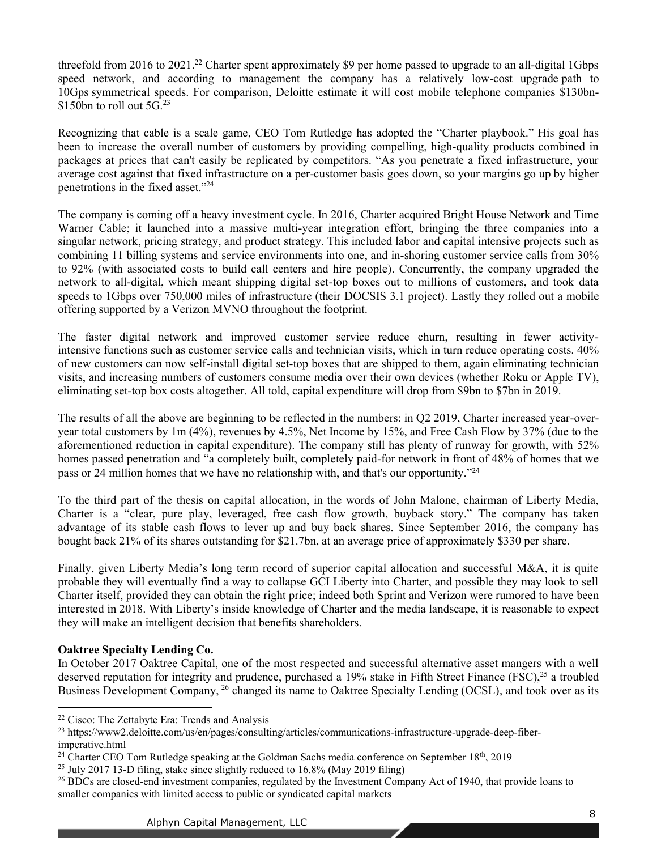threefold from 2016 to 2021.<sup>22</sup> Charter spent approximately \$9 per home passed to upgrade to an all-digital 1Gbps speed network, and according to management the company has a relatively low-cost upgrade path to 10Gps symmetrical speeds. For comparison, Deloitte estimate it will cost mobile telephone companies \$130bn- \$150bn to roll out  $5G<sup>23</sup>$ 

Recognizing that cable is a scale game, CEO Tom Rutledge has adopted the "Charter playbook." His goal has been to increase the overall number of customers by providing compelling, high-quality products combined in packages at prices that can't easily be replicated by competitors. "As you penetrate a fixed infrastructure, your average cost against that fixed infrastructure on a per-customer basis goes down, so your margins go up by higher penetrations in the fixed asset. $24$ 

<span id="page-7-0"></span>The company is coming off a heavy investment cycle. In 2016, Charter acquired Bright House Network and Time Warner Cable; it launched into a massive multi-year integration effort, bringing the three companies into a singular network, pricing strategy, and product strategy. This included labor and capital intensive projects such as combining 11 billing systems and service environments into one, and in-shoring customer service calls from 30% to 92% (with associated costs to build call centers and hire people). Concurrently, the company upgraded the network to all-digital, which meant shipping digital set-top boxes out to millions of customers, and took data speeds to 1Gbps over 750,000 miles of infrastructure (their DOCSIS 3.1 project). Lastly they rolled out a mobile offering supported by a Verizon MVNO throughout the footprint.

The faster digital network and improved customer service reduce churn, resulting in fewer activityintensive functions such as customer service calls and technician visits, which in turn reduce operating costs. 40% of new customers can now self-install digital set-top boxes that are shipped to them, again eliminating technician visits, and increasing numbers of customers consume media over their own devices (whether Roku or Apple TV), eliminating set-top box costs altogether. All told, capital expenditure will drop from \$9bn to \$7bn in 2019.

The results of all the above are beginning to be reflected in the numbers: in Q2 2019, Charter increased year-overyear total customers by 1m (4%), revenues by 4.5%, Net Income by 15%, and Free Cash Flow by 37% (due to the aforementioned reduction in capital expenditure). The company still has plenty of runway for growth, with 52% homes passed penetration and "a completely built, completely paid-for network in front of 48% of homes that we pass or [24](#page-7-0) million homes that we have no relationship with, and that's our opportunity.<sup>"24</sup>

To the third part of the thesis on capital allocation, in the words of John Malone, chairman of Liberty Media, Charter is a "clear, pure play, leveraged, free cash flow growth, buyback story." The company has taken advantage of its stable cash flows to lever up and buy back shares. Since September 2016, the company has bought back 21% of its shares outstanding for \$21.7bn, at an average price of approximately \$330 per share.

Finally, given Liberty Media's long term record of superior capital allocation and successful M&A, it is quite probable they will eventually find a way to collapse GCI Liberty into Charter, and possible they may look to sell Charter itself, provided they can obtain the right price; indeed both Sprint and Verizon were rumored to have been interested in 2018. With Liberty's inside knowledge of Charter and the media landscape, it is reasonable to expect they will make an intelligent decision that benefits shareholders.

## **Oaktree Specialty Lending Co.**

In October 2017 Oaktree Capital, one of the most respected and successful alternative asset mangers with a well deserved reputation for integrity and prudence, purchased a 19% stake in Fifth Street Finance (FSC),<sup>25</sup> a troubled Business Development Company, <sup>26</sup> changed its name to Oaktree Specialty Lending (OCSL), and took over as its

<sup>22</sup> Cisco: The Zettabyte Era: Trends and Analysis

<sup>&</sup>lt;sup>23</sup> https://www2.deloitte.com/us/en/pages/consulting/articles/communications-infrastructure-upgrade-deep-fiberimperative.html

<sup>&</sup>lt;sup>24</sup> Charter CEO Tom Rutledge speaking at the Goldman Sachs media conference on September  $18<sup>th</sup>$ , 2019

<sup>&</sup>lt;sup>25</sup> July 2017 13-D filing, stake since slightly reduced to  $16.8\%$  (May 2019 filing)

<sup>&</sup>lt;sup>26</sup> BDCs are closed-end investment companies, regulated by the Investment Company Act of 1940, that provide loans to smaller companies with limited access to public or syndicated capital markets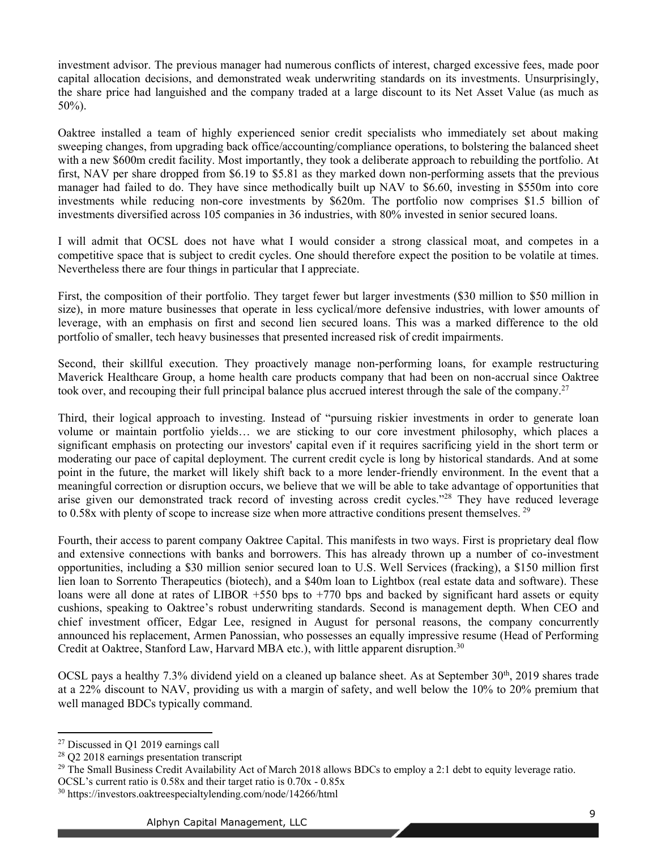investment advisor. The previous manager had numerous conflicts of interest, charged excessive fees, made poor capital allocation decisions, and demonstrated weak underwriting standards on its investments. Unsurprisingly, the share price had languished and the company traded at a large discount to its Net Asset Value (as much as 50%).

Oaktree installed a team of highly experienced senior credit specialists who immediately set about making sweeping changes, from upgrading back office/accounting/compliance operations, to bolstering the balanced sheet with a new \$600m credit facility. Most importantly, they took a deliberate approach to rebuilding the portfolio. At first, NAV per share dropped from \$6.19 to \$5.81 as they marked down non-performing assets that the previous manager had failed to do. They have since methodically built up NAV to \$6.60, investing in \$550m into core investments while reducing non-core investments by \$620m. The portfolio now comprises \$1.5 billion of investments diversified across 105 companies in 36 industries, with 80% invested in senior secured loans.

I will admit that OCSL does not have what I would consider a strong classical moat, and competes in a competitive space that is subject to credit cycles. One should therefore expect the position to be volatile at times. Nevertheless there are four things in particular that I appreciate.

First, the composition of their portfolio. They target fewer but larger investments (\$30 million to \$50 million in size), in more mature businesses that operate in less cyclical/more defensive industries, with lower amounts of leverage, with an emphasis on first and second lien secured loans. This was a marked difference to the old portfolio of smaller, tech heavy businesses that presented increased risk of credit impairments.

Second, their skillful execution. They proactively manage non-performing loans, for example restructuring Maverick Healthcare Group, a home health care products company that had been on non-accrual since Oaktree took over, and recouping their full principal balance plus accrued interest through the sale of the company.<sup>27</sup>

Third, their logical approach to investing. Instead of "pursuing riskier investments in order to generate loan volume or maintain portfolio yields... we are sticking to our core investment philosophy, which places a significant emphasis on protecting our investors' capital even if it requires sacrificing yield in the short term or moderating our pace of capital deployment. The current credit cycle is long by historical standards. And at some point in the future, the market will likely shift back to a more lender-friendly environment. In the event that a meaningful correction or disruption occurs, we believe that we will be able to take advantage of opportunities that arise given our demonstrated track record of investing across credit cycles.<sup>728</sup> They have reduced leverage to 0.58x with plenty of scope to increase size when more attractive conditions present themselves. <sup>29</sup>

Fourth, their access to parent company Oaktree Capital. This manifests in two ways. First is proprietary deal flow and extensive connections with banks and borrowers. This has already thrown up a number of co-investment opportunities, including a \$30 million senior secured loan to U.S. Well Services (fracking), a \$150 million first lien loan to Sorrento Therapeutics (biotech), and a \$40m loan to Lightbox (real estate data and software). These loans were all done at rates of LIBOR  $+550$  bps to  $+770$  bps and backed by significant hard assets or equity cushions, speaking to Oaktree's robust underwriting standards. Second is management depth. When CEO and chief investment officer, Edgar Lee, resigned in August for personal reasons, the company concurrently announced his replacement, Armen Panossian, who possesses an equally impressive resume (Head of Performing Credit at Oaktree, Stanford Law, Harvard MBA etc.), with little apparent disruption.<sup>30</sup>

OCSL pays a healthy 7.3% dividend yield on a cleaned up balance sheet. As at September 30<sup>th</sup>, 2019 shares trade at a 22% discount to NAV, providing us with a margin of safety, and well below the 10% to 20% premium that well managed BDCs typically command.

<sup>27</sup> Discussed in Q1 2019 earnings call

<sup>28</sup> Q2 2018 earnings presentation transcript

<sup>&</sup>lt;sup>29</sup> The Small Business Credit Availability Act of March 2018 allows BDCs to employ a 2:1 debt to equity leverage ratio.

OCSL's current ratio is  $0.58x$  and their target ratio is  $0.70x - 0.85x$ 

<sup>30</sup> https://investors.oaktreespecialtylending.com/node/14266/html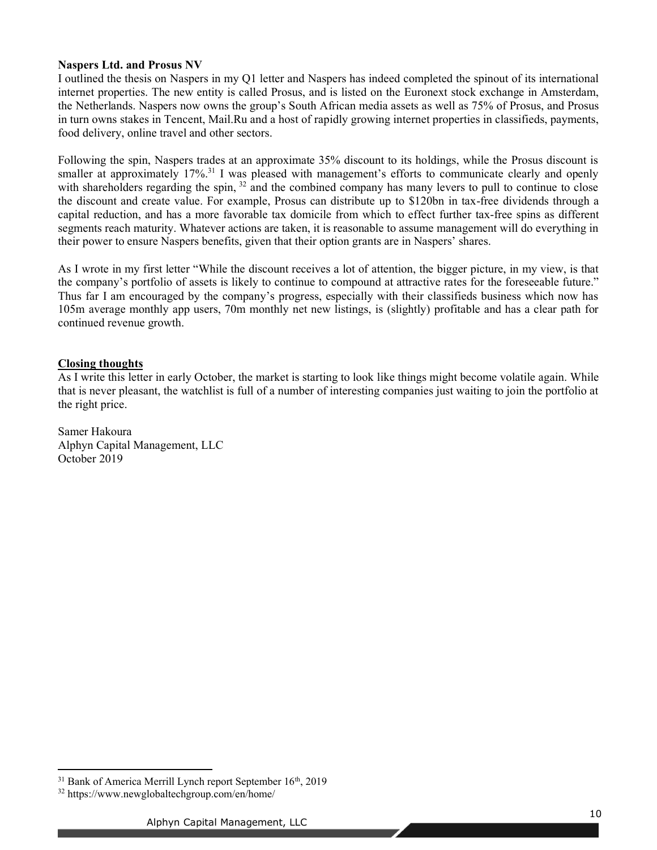## **Naspers Ltd. and Prosus NV**

I outlined the thesis on Naspers in my Q1 letter and Naspers has indeed completed the spinout of its international internet properties. The new entity is called Prosus, and is listed on the Euronext stock exchange in Amsterdam, the Netherlands. Naspers now owns the group's South African media assets as well as 75% of Prosus, and Prosus in turn owns stakes in Tencent, Mail.Ru and a host of rapidly growing internet properties in classifieds, payments, food delivery, online travel and other sectors.

Following the spin, Naspers trades at an approximate 35% discount to its holdings, while the Prosus discount is smaller at approximately  $17\%$ <sup>31</sup> I was pleased with management's efforts to communicate clearly and openly with shareholders regarding the spin, <sup>32</sup> and the combined company has many levers to pull to continue to close the discount and create value. For example, Prosus can distribute up to \$120bn in tax-free dividends through a capital reduction, and has a more favorable tax domicile from which to effect further tax-free spins as different segments reach maturity. Whatever actions are taken, it is reasonable to assume management will do everything in their power to ensure Naspers benefits, given that their option grants are in Naspers' shares.

As I wrote in my first letter "While the discount receives a lot of attention, the bigger picture, in my view, is that the company's portfolio of assets is likely to continue to compound at attractive rates for the foreseeable future." Thus far I am encouraged by the company's progress, especially with their classifieds business which now has 105m average monthly app users, 70m monthly net new listings, is (slightly) profitable and has a clear path for continued revenue growth.

# **Closing thoughts**

As I write this letter in early October, the market is starting to look like things might become volatile again. While that is never pleasant, the watchlist is full of a number of interesting companies just waiting to join the portfolio at the right price.

Samer Hakoura Alphyn Capital Management, LLC October 2019

 $31$  Bank of America Merrill Lynch report September  $16<sup>th</sup>$ , 2019

<sup>32</sup> https://www.newglobaltechgroup.com/en/home/